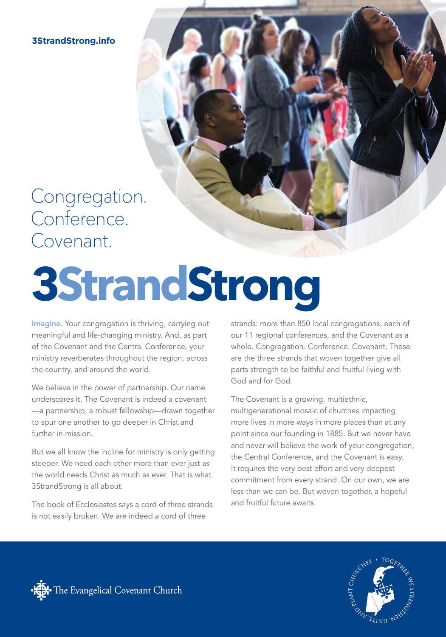**3StrandStrong.info**

### Congregation. Conference. Covenant.

# **3StrandStrong**

Imagine. Your congregation is thriving, carrying out meaningful and life-changing ministry. And, as part of the Covenant and the Central Conference, your ministry reverberates throughout the region, across the country, and around the world.

We believe in the power of partnership. Our name underscores it. The Covenant is indeed a covenant —a partnership, a robust fellowship—drawn together to spur one another to go deeper in Christ and further in mission.

But we all know the incline for ministry is only getting steeper. We need each other more than ever just as the world needs Christ as much as ever. That is what 3StrandStrong is all about.

The book of Ecclesiastes says a cord of three strands is not easily broken. We are indeed a cord of three

strands: more than 850 local congregations, each of our 11 regional conferences, and the Covenant as a whole. Congregation. Conference. Covenant. These are the three strands that woven together give all parts strength to be faithful and fruitful living with God and for God.

The Covenant is a growing, multiethnic, multigenerational mosaic of churches impacting more lives in more ways in more places than at any point since our founding in 1885. But we never have and never will believe the work of your congregation, the Central Conference, and the Covenant is easy. It requires the very best effort and very deepest commitment from every strand. On our own, we are less than we can be. But woven together, a hopeful and fruitful future awaits.



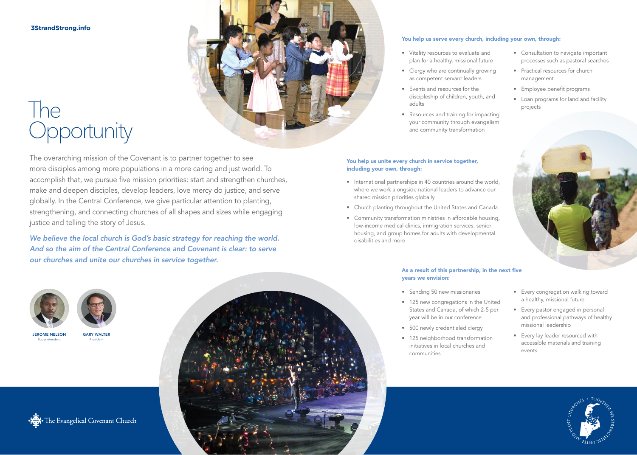#### **3StrandStrong.info**

## The Opportunity



The overarching mission of the Covenant is to partner together to see more disciples among more populations in a more caring and just world. To accomplish that, we pursue five mission priorities: start and strengthen churches, make and deepen disciples, develop leaders, love mercy do justice, and serve globally. In the Central Conference, we give particular attention to planting, strengthening, and connecting churches of all shapes and sizes while engaging justice and telling the story of Jesus.

*We believe the local church is God's basic strategy for reaching the world. And so the aim of the Central Conference and Covenant is clear: to serve our churches and unite our churches in service together.*

#### You help us serve every church, including your own, through:

- Vitality resources to evaluate and plan for a healthy, missional future
- Clergy who are continually growing as competent servant leaders
- Events and resources for the discipleship of children, youth, and adults
- Resources and training for impacting your community through evangelism and community transformation

#### You help us unite every church in service together, including your own, through:

- International partnerships in 40 countries around the world, where we work alongside national leaders to advance our shared mission priorities globally
- Church planting throughout the United States and Canada
- Community transformation ministries in affordable housing, low-income medical clinics, immigration services, senior housing, and group homes for adults with developmental disabilities and more

#### As a result of this partnership, in the next five years we envision:

- Sending 50 new missionaries
- 125 new congregations in the United States and Canada, of which 2-5 per year will be in our conference
- 500 newly credentialed clergy
- 125 neighborhood transformation initiatives in local churches and communities
- Every congregation walking toward a healthy, missional future

• Consultation to navigate important processes such as pastoral searches

• Practical resources for church

• Employee benefit programs

• Loan programs for land and facility

management

projects

- Every pastor engaged in personal and professional pathways of healthy missional leadership
- Every lay leader resourced with accessible materials and training events







JEROME NELSON Superintendent

GARY WALTER President

Het The Evangelical Covenant Church